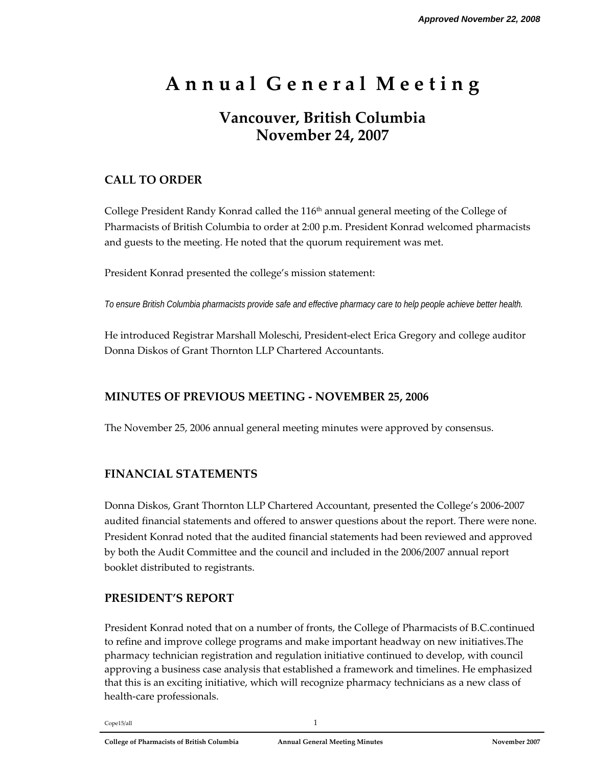# **A n n u a l G e n e r a l M e e t i n g**

## **Vancouver, British Columbia November 24, 2007**

## **CALL TO ORDER**

College President Randy Konrad called the 116<sup>th</sup> annual general meeting of the College of Pharmacists of British Columbia to order at 2:00 p.m. President Konrad welcomed pharmacists and guests to the meeting. He noted that the quorum requirement was met.

President Konrad presented the college's mission statement:

*To ensure British Columbia pharmacists provide safe and effective pharmacy care to help people achieve better health.* 

He introduced Registrar Marshall Moleschi, President‐elect Erica Gregory and college auditor Donna Diskos of Grant Thornton LLP Chartered Accountants.

## **MINUTES OF PREVIOUS MEETING ‐ NOVEMBER 25, 2006**

The November 25, 2006 annual general meeting minutes were approved by consensus.

## **FINANCIAL STATEMENTS**

Donna Diskos, Grant Thornton LLP Chartered Accountant, presented the College's 2006‐2007 audited financial statements and offered to answer questions about the report. There were none. President Konrad noted that the audited financial statements had been reviewed and approved by both the Audit Committee and the council and included in the 2006/2007 annual report booklet distributed to registrants.

## **PRESIDENT'S REPORT**

President Konrad noted that on a number of fronts, the College of Pharmacists of B.C.continued to refine and improve college programs and make important headway on new initiatives.The pharmacy technician registration and regulation initiative continued to develop, with council approving a business case analysis that established a framework and timelines. He emphasized that this is an exciting initiative, which will recognize pharmacy technicians as a new class of health‐care professionals.

 $Cope15/all$   $1$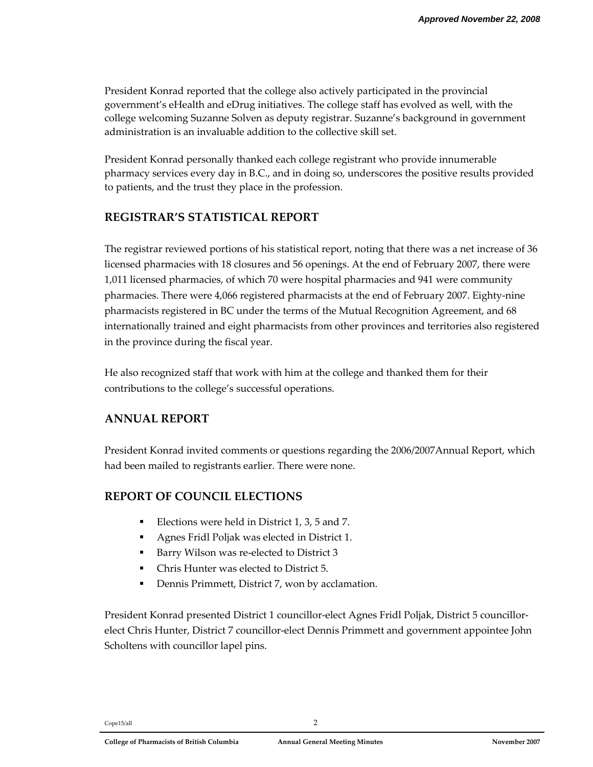President Konrad reported that the college also actively participated in the provincial government's eHealth and eDrug initiatives. The college staff has evolved as well, with the college welcoming Suzanne Solven as deputy registrar. Suzanne's background in government administration is an invaluable addition to the collective skill set.

President Konrad personally thanked each college registrant who provide innumerable pharmacy services every day in B.C., and in doing so, underscores the positive results provided to patients, and the trust they place in the profession.

## **REGISTRAR'S STATISTICAL REPORT**

The registrar reviewed portions of his statistical report, noting that there was a net increase of 36 licensed pharmacies with 18 closures and 56 openings. At the end of February 2007, there were 1,011 licensed pharmacies, of which 70 were hospital pharmacies and 941 were community pharmacies. There were 4,066 registered pharmacists at the end of February 2007. Eighty‐nine pharmacists registered in BC under the terms of the Mutual Recognition Agreement, and 68 internationally trained and eight pharmacists from other provinces and territories also registered in the province during the fiscal year.

He also recognized staff that work with him at the college and thanked them for their contributions to the college's successful operations.

## **ANNUAL REPORT**

President Konrad invited comments or questions regarding the 2006/2007Annual Report, which had been mailed to registrants earlier. There were none.

## **REPORT OF COUNCIL ELECTIONS**

- Elections were held in District 1, 3, 5 and 7.
- Agnes Fridl Poljak was elected in District 1.
- Barry Wilson was re‐elected to District 3
- Chris Hunter was elected to District 5.
- Dennis Primmett, District 7, won by acclamation.

President Konrad presented District 1 councillor‐elect Agnes Fridl Poljak, District 5 councillor‐ elect Chris Hunter, District 7 councillor‐elect Dennis Primmett and government appointee John Scholtens with councillor lapel pins.

Cope15/all 2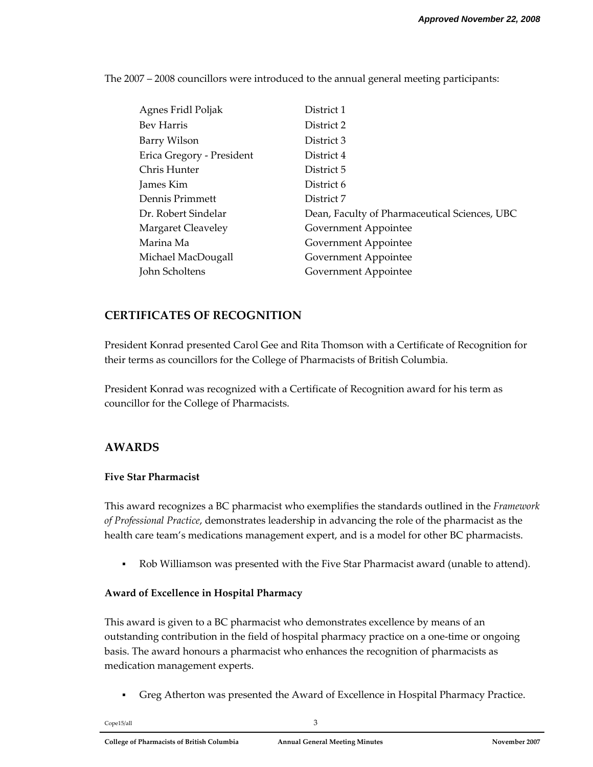The 2007 – 2008 councillors were introduced to the annual general meeting participants:

| Agnes Fridl Poljak        | District 1                                    |
|---------------------------|-----------------------------------------------|
| Bev Harris                | District 2                                    |
| Barry Wilson              | District 3                                    |
| Erica Gregory - President | District 4                                    |
| Chris Hunter              | District 5                                    |
| James Kim                 | District 6                                    |
| Dennis Primmett           | District 7                                    |
| Dr. Robert Sindelar       | Dean, Faculty of Pharmaceutical Sciences, UBC |
| Margaret Cleaveley        | Government Appointee                          |
| Marina Ma                 | Government Appointee                          |
| Michael MacDougall        | Government Appointee                          |
| John Scholtens            | Government Appointee                          |

### **CERTIFICATES OF RECOGNITION**

President Konrad presented Carol Gee and Rita Thomson with a Certificate of Recognition for their terms as councillors for the College of Pharmacists of British Columbia.

President Konrad was recognized with a Certificate of Recognition award for his term as councillor for the College of Pharmacists.

#### **AWARDS**

#### **Five Star Pharmacist**

This award recognizes a BC pharmacist who exemplifies the standards outlined in the *Framework of Professional Practice*, demonstrates leadership in advancing the role of the pharmacist as the health care team's medications management expert, and is a model for other BC pharmacists.

Rob Williamson was presented with the Five Star Pharmacist award (unable to attend).

#### **Award of Excellence in Hospital Pharmacy**

This award is given to a BC pharmacist who demonstrates excellence by means of an outstanding contribution in the field of hospital pharmacy practice on a one‐time or ongoing basis. The award honours a pharmacist who enhances the recognition of pharmacists as medication management experts.

Greg Atherton was presented the Award of Excellence in Hospital Pharmacy Practice.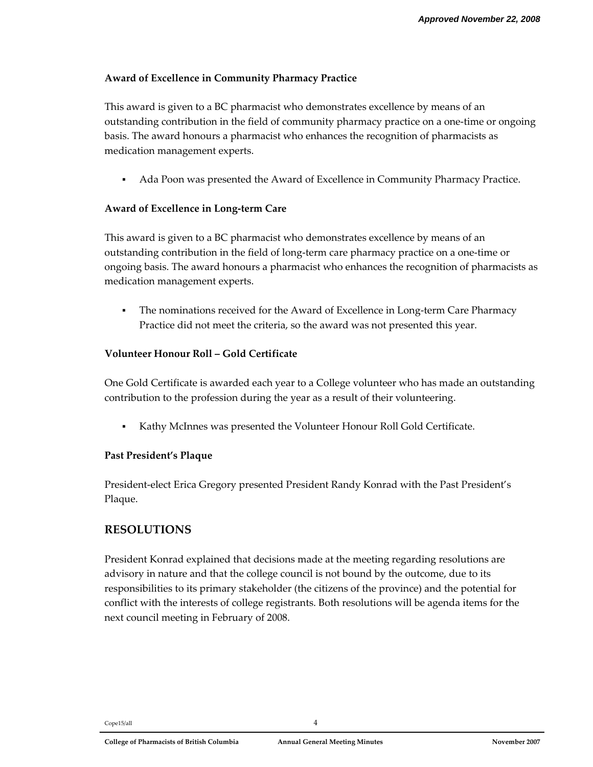#### **Award of Excellence in Community Pharmacy Practice**

This award is given to a BC pharmacist who demonstrates excellence by means of an outstanding contribution in the field of community pharmacy practice on a one‐time or ongoing basis. The award honours a pharmacist who enhances the recognition of pharmacists as medication management experts.

Ada Poon was presented the Award of Excellence in Community Pharmacy Practice.

#### **Award of Excellence in Long‐term Care**

This award is given to a BC pharmacist who demonstrates excellence by means of an outstanding contribution in the field of long‐term care pharmacy practice on a one‐time or ongoing basis. The award honours a pharmacist who enhances the recognition of pharmacists as medication management experts.

■ The nominations received for the Award of Excellence in Long-term Care Pharmacy Practice did not meet the criteria, so the award was not presented this year.

#### **Volunteer Honour Roll – Gold Certificate**

One Gold Certificate is awarded each year to a College volunteer who has made an outstanding contribution to the profession during the year as a result of their volunteering.

Kathy McInnes was presented the Volunteer Honour Roll Gold Certificate.

#### **Past President's Plaque**

President‐elect Erica Gregory presented President Randy Konrad with the Past President's Plaque.

## **RESOLUTIONS**

President Konrad explained that decisions made at the meeting regarding resolutions are advisory in nature and that the college council is not bound by the outcome, due to its responsibilities to its primary stakeholder (the citizens of the province) and the potential for conflict with the interests of college registrants. Both resolutions will be agenda items for the next council meeting in February of 2008.

 $Cope15/all$  4